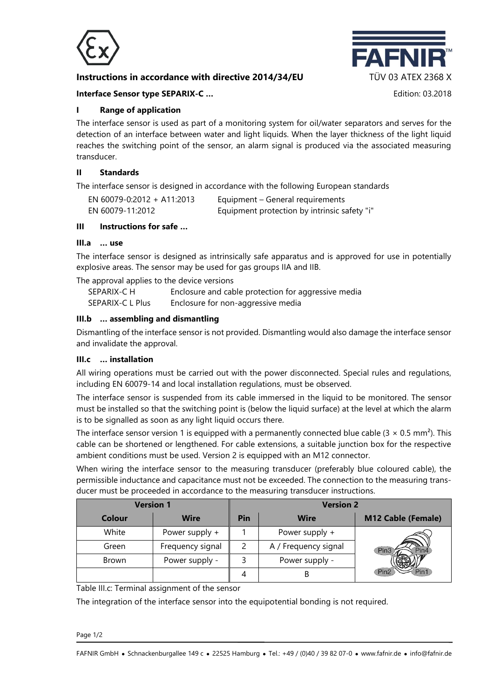

# **Instructions in accordance with directive 2014/34/EU TÜV 03 ATEX 2368 X**



# **Interface Sensor type SEPARIX-C …** Edition: 03.2018

# **I Range of application**

The interface sensor is used as part of a monitoring system for oil/water separators and serves for the detection of an interface between water and light liquids. When the layer thickness of the light liquid reaches the switching point of the sensor, an alarm signal is produced via the associated measuring transducer.

## **II Standards**

The interface sensor is designed in accordance with the following European standards

| EN 60079-0:2012 + A11:2013 | Equipment – General requirements             |
|----------------------------|----------------------------------------------|
| EN 60079-11:2012           | Equipment protection by intrinsic safety "i" |

# **III Instructions for safe …**

#### **III.a … use**

The interface sensor is designed as intrinsically safe apparatus and is approved for use in potentially explosive areas. The sensor may be used for gas groups IIA and IIB.

The approval applies to the device versions

| SEPARIX-C H      | Enclosure and cable protection for aggressive media |
|------------------|-----------------------------------------------------|
| SEPARIX-C L Plus | Enclosure for non-aggressive media                  |

# **III.b … assembling and dismantling**

Dismantling of the interface sensor is not provided. Dismantling would also damage the interface sensor and invalidate the approval.

#### **III.c … installation**

All wiring operations must be carried out with the power disconnected. Special rules and regulations, including EN 60079-14 and local installation regulations, must be observed.

The interface sensor is suspended from its cable immersed in the liquid to be monitored. The sensor must be installed so that the switching point is (below the liquid surface) at the level at which the alarm is to be signalled as soon as any light liquid occurs there.

The interface sensor version 1 is equipped with a permanently connected blue cable ( $3 \times 0.5$  mm<sup>2</sup>). This cable can be shortened or lengthened. For cable extensions, a suitable junction box for the respective ambient conditions must be used. Version 2 is equipped with an M12 connector.

When wiring the interface sensor to the measuring transducer (preferably blue coloured cable), the permissible inductance and capacitance must not be exceeded. The connection to the measuring transducer must be proceeded in accordance to the measuring transducer instructions.

| <b>Version 1</b> |                  | <b>Version 2</b> |                      |                           |  |
|------------------|------------------|------------------|----------------------|---------------------------|--|
| Colour           | <b>Wire</b>      | Pin              | <b>Wire</b>          | <b>M12 Cable (Female)</b> |  |
| White            | Power supply $+$ |                  | Power supply +       |                           |  |
| Green            | Frequency signal |                  | A / Frequency signal | Pin3                      |  |
| <b>Brown</b>     | Power supply -   |                  | Power supply -       |                           |  |
|                  |                  |                  |                      | Pin1<br>Pin <sub>2</sub>  |  |

Table III.c: Terminal assignment of the sensor

The integration of the interface sensor into the equipotential bonding is not required.

Page 1/2